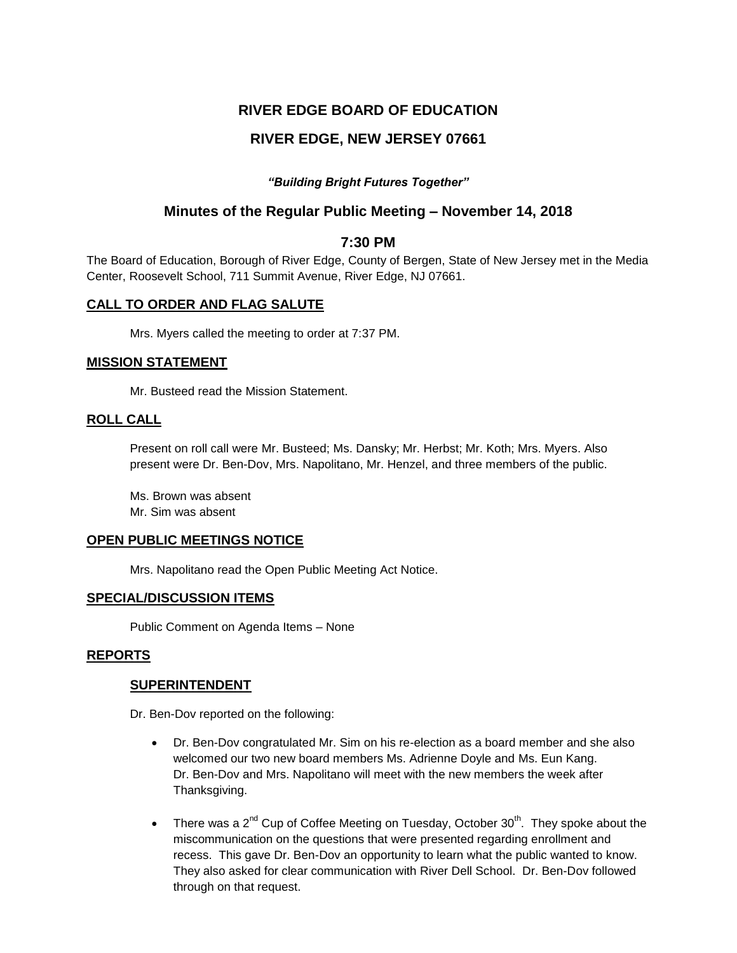## **RIVER EDGE BOARD OF EDUCATION**

# **RIVER EDGE, NEW JERSEY 07661**

## *"Building Bright Futures Together"*

## **Minutes of the Regular Public Meeting – November 14, 2018**

## **7:30 PM**

The Board of Education, Borough of River Edge, County of Bergen, State of New Jersey met in the Media Center, Roosevelt School, 711 Summit Avenue, River Edge, NJ 07661.

## **CALL TO ORDER AND FLAG SALUTE**

Mrs. Myers called the meeting to order at 7:37 PM.

### **MISSION STATEMENT**

Mr. Busteed read the Mission Statement.

### **ROLL CALL**

Present on roll call were Mr. Busteed; Ms. Dansky; Mr. Herbst; Mr. Koth; Mrs. Myers. Also present were Dr. Ben-Dov, Mrs. Napolitano, Mr. Henzel, and three members of the public.

Ms. Brown was absent Mr. Sim was absent

### **OPEN PUBLIC MEETINGS NOTICE**

Mrs. Napolitano read the Open Public Meeting Act Notice.

## **SPECIAL/DISCUSSION ITEMS**

Public Comment on Agenda Items – None

## **REPORTS**

### **SUPERINTENDENT**

Dr. Ben-Dov reported on the following:

- Dr. Ben-Dov congratulated Mr. Sim on his re-election as a board member and she also welcomed our two new board members Ms. Adrienne Doyle and Ms. Eun Kang. Dr. Ben-Dov and Mrs. Napolitano will meet with the new members the week after Thanksgiving.
- There was a  $2^{nd}$  Cup of Coffee Meeting on Tuesday, October  $30^{th}$ . They spoke about the miscommunication on the questions that were presented regarding enrollment and recess. This gave Dr. Ben-Dov an opportunity to learn what the public wanted to know. They also asked for clear communication with River Dell School. Dr. Ben-Dov followed through on that request.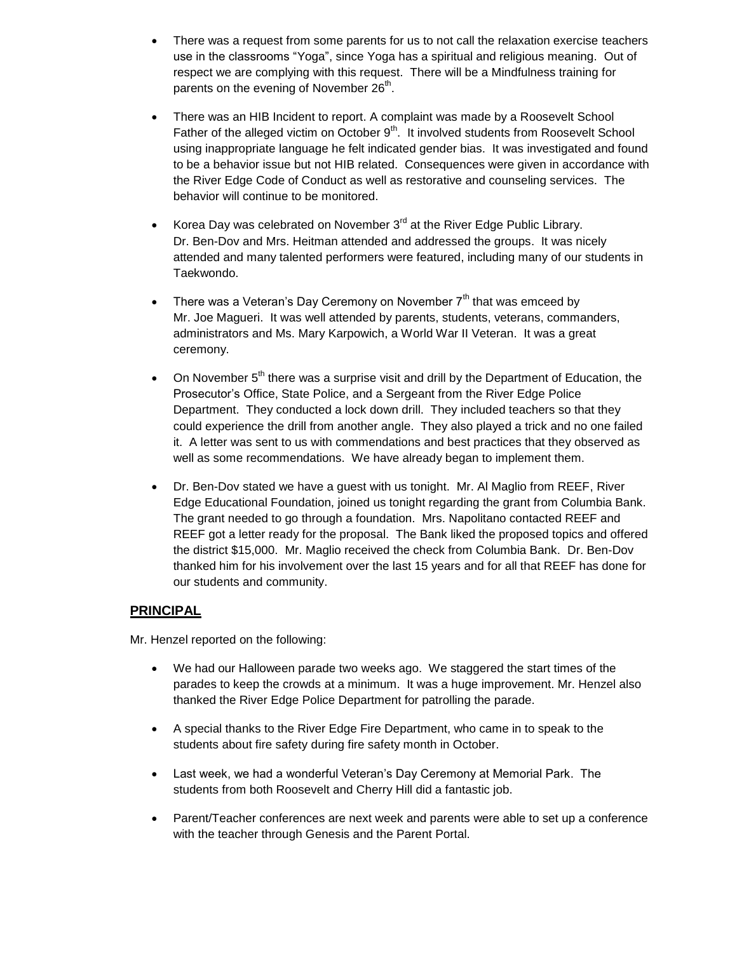- There was a request from some parents for us to not call the relaxation exercise teachers use in the classrooms "Yoga", since Yoga has a spiritual and religious meaning. Out of respect we are complying with this request. There will be a Mindfulness training for parents on the evening of November 26<sup>th</sup>.
- There was an HIB Incident to report. A complaint was made by a Roosevelt School Father of the alleged victim on October  $9<sup>th</sup>$ . It involved students from Roosevelt School using inappropriate language he felt indicated gender bias. It was investigated and found to be a behavior issue but not HIB related. Consequences were given in accordance with the River Edge Code of Conduct as well as restorative and counseling services. The behavior will continue to be monitored.
- Korea Day was celebrated on November  $3<sup>rd</sup>$  at the River Edge Public Library. Dr. Ben-Dov and Mrs. Heitman attended and addressed the groups. It was nicely attended and many talented performers were featured, including many of our students in Taekwondo.
- There was a Veteran's Day Ceremony on November  $7<sup>th</sup>$  that was emceed by Mr. Joe Magueri. It was well attended by parents, students, veterans, commanders, administrators and Ms. Mary Karpowich, a World War II Veteran. It was a great ceremony.
- On November  $5<sup>th</sup>$  there was a surprise visit and drill by the Department of Education, the Prosecutor's Office, State Police, and a Sergeant from the River Edge Police Department. They conducted a lock down drill. They included teachers so that they could experience the drill from another angle. They also played a trick and no one failed it. A letter was sent to us with commendations and best practices that they observed as well as some recommendations. We have already began to implement them.
- Dr. Ben-Dov stated we have a guest with us tonight. Mr. Al Maglio from REEF, River Edge Educational Foundation, joined us tonight regarding the grant from Columbia Bank. The grant needed to go through a foundation. Mrs. Napolitano contacted REEF and REEF got a letter ready for the proposal. The Bank liked the proposed topics and offered the district \$15,000. Mr. Maglio received the check from Columbia Bank. Dr. Ben-Dov thanked him for his involvement over the last 15 years and for all that REEF has done for our students and community.

## **PRINCIPAL**

Mr. Henzel reported on the following:

- We had our Halloween parade two weeks ago. We staggered the start times of the parades to keep the crowds at a minimum. It was a huge improvement. Mr. Henzel also thanked the River Edge Police Department for patrolling the parade.
- A special thanks to the River Edge Fire Department, who came in to speak to the students about fire safety during fire safety month in October.
- Last week, we had a wonderful Veteran's Day Ceremony at Memorial Park. The students from both Roosevelt and Cherry Hill did a fantastic job.
- Parent/Teacher conferences are next week and parents were able to set up a conference with the teacher through Genesis and the Parent Portal.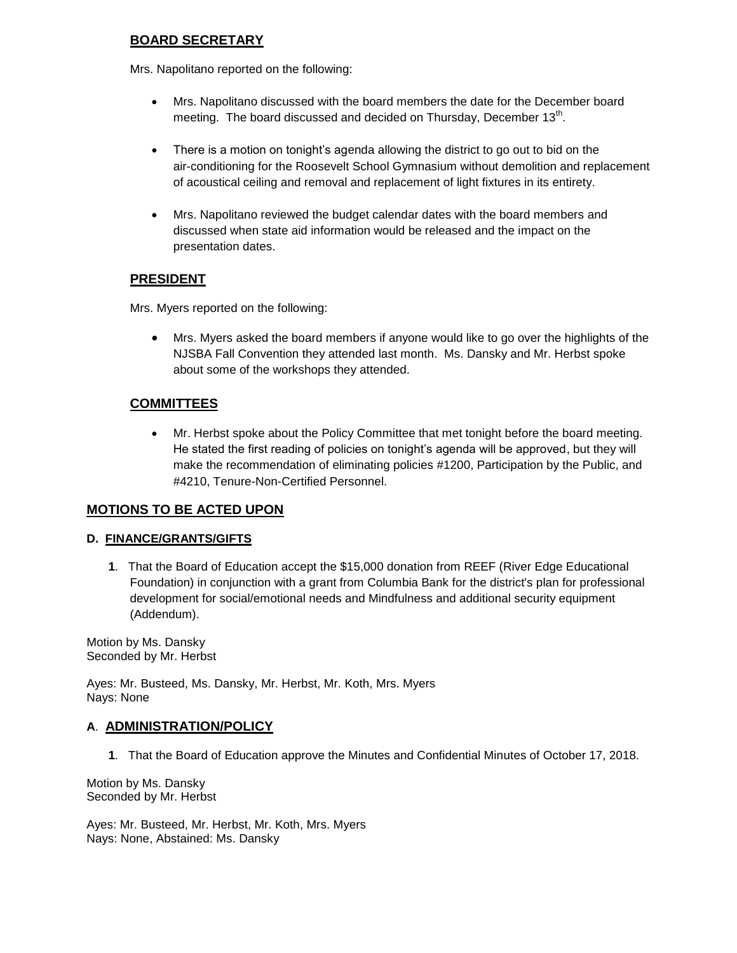## **BOARD SECRETARY**

Mrs. Napolitano reported on the following:

- Mrs. Napolitano discussed with the board members the date for the December board meeting. The board discussed and decided on Thursday, December 13<sup>th</sup>.
- There is a motion on tonight's agenda allowing the district to go out to bid on the air-conditioning for the Roosevelt School Gymnasium without demolition and replacement of acoustical ceiling and removal and replacement of light fixtures in its entirety.
- Mrs. Napolitano reviewed the budget calendar dates with the board members and discussed when state aid information would be released and the impact on the presentation dates.

## **PRESIDENT**

Mrs. Myers reported on the following:

 Mrs. Myers asked the board members if anyone would like to go over the highlights of the NJSBA Fall Convention they attended last month. Ms. Dansky and Mr. Herbst spoke about some of the workshops they attended.

# **COMMITTEES**

 Mr. Herbst spoke about the Policy Committee that met tonight before the board meeting. He stated the first reading of policies on tonight's agenda will be approved, but they will make the recommendation of eliminating policies #1200, Participation by the Public, and #4210, Tenure-Non-Certified Personnel.

## **MOTIONS TO BE ACTED UPON**

## **D. FINANCE/GRANTS/GIFTS**

**1**. That the Board of Education accept the \$15,000 donation from REEF (River Edge Educational Foundation) in conjunction with a grant from Columbia Bank for the district's plan for professional development for social/emotional needs and Mindfulness and additional security equipment (Addendum).

Motion by Ms. Dansky Seconded by Mr. Herbst

Ayes: Mr. Busteed, Ms. Dansky, Mr. Herbst, Mr. Koth, Mrs. Myers Nays: None

### **A**. **ADMINISTRATION/POLICY**

**1**. That the Board of Education approve the Minutes and Confidential Minutes of October 17, 2018.

Motion by Ms. Dansky Seconded by Mr. Herbst

Ayes: Mr. Busteed, Mr. Herbst, Mr. Koth, Mrs. Myers Nays: None, Abstained: Ms. Dansky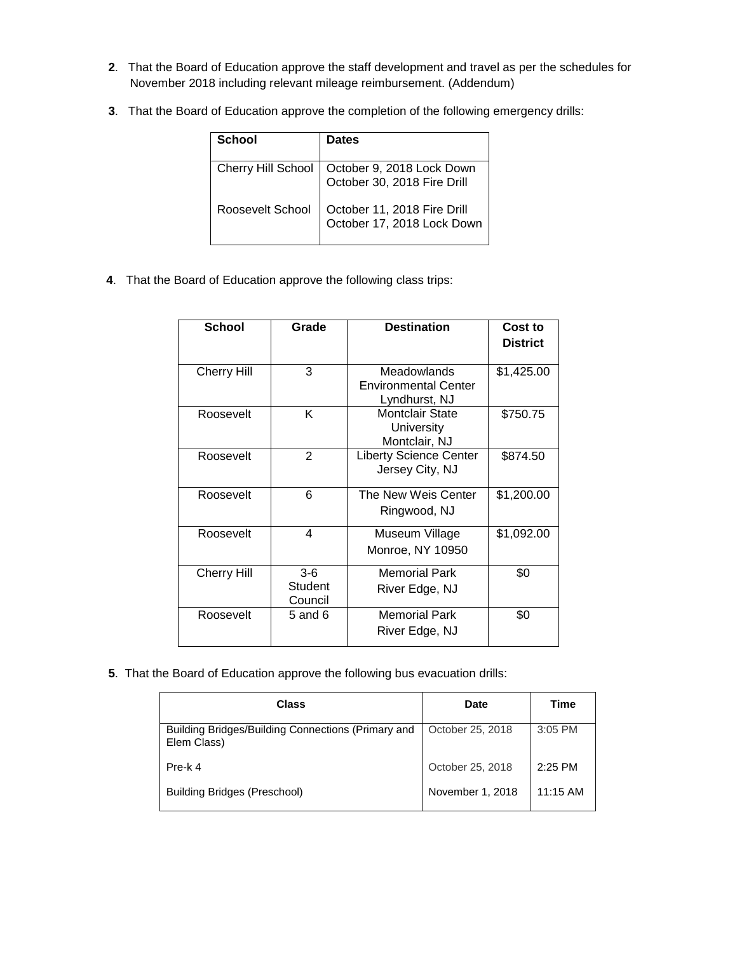- **2**. That the Board of Education approve the staff development and travel as per the schedules for November 2018 including relevant mileage reimbursement. (Addendum)
- **3**. That the Board of Education approve the completion of the following emergency drills:

| School                    | <b>Dates</b>                                              |
|---------------------------|-----------------------------------------------------------|
| <b>Cherry Hill School</b> | October 9, 2018 Lock Down<br>October 30, 2018 Fire Drill  |
| Roosevelt School          | October 11, 2018 Fire Drill<br>October 17, 2018 Lock Down |

**4**. That the Board of Education approve the following class trips:

| <b>School</b>      | Grade                       | <b>Destination</b>                                                 | Cost to<br><b>District</b> |
|--------------------|-----------------------------|--------------------------------------------------------------------|----------------------------|
| <b>Cherry Hill</b> | 3                           | <b>Meadowlands</b><br><b>Environmental Center</b><br>Lyndhurst, NJ | \$1,425.00                 |
| Roosevelt          | Κ                           | Montclair State<br><b>University</b><br>Montclair, NJ              | \$750.75                   |
| Roosevelt          | $\overline{2}$              | <b>Liberty Science Center</b><br>Jersey City, NJ                   | \$874.50                   |
| Roosevelt          | 6                           | The New Weis Center<br>Ringwood, NJ                                | \$1,200.00                 |
| Roosevelt          | 4                           | Museum Village<br>Monroe, NY 10950                                 | \$1,092.00                 |
| <b>Cherry Hill</b> | $3-6$<br>Student<br>Council | <b>Memorial Park</b><br>River Edge, NJ                             | \$0                        |
| Roosevelt          | $5$ and $6$                 | <b>Memorial Park</b><br>River Edge, NJ                             | \$0                        |

**5**. That the Board of Education approve the following bus evacuation drills:

| <b>Class</b>                                                      | <b>Date</b>      | Time      |
|-------------------------------------------------------------------|------------------|-----------|
| Building Bridges/Building Connections (Primary and<br>Elem Class) | October 25, 2018 | 3:05 PM   |
| Pre-k 4                                                           | October 25, 2018 | $2:25$ PM |
| <b>Building Bridges (Preschool)</b>                               | November 1, 2018 | 11:15 AM  |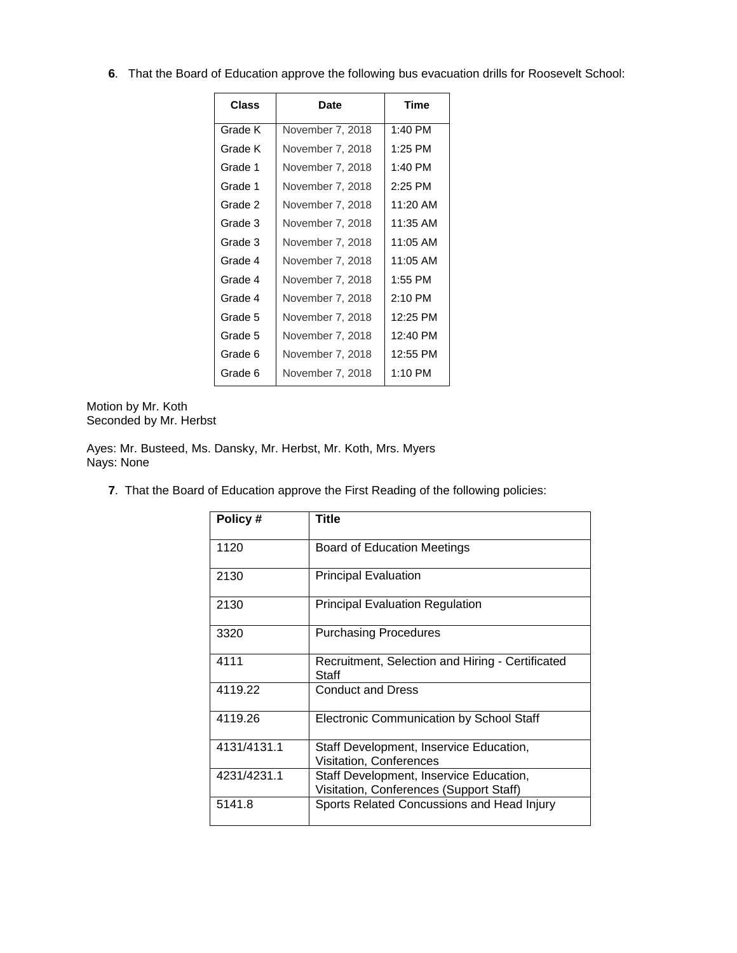**6**. That the Board of Education approve the following bus evacuation drills for Roosevelt School:

| Class   | Date             | Time      |
|---------|------------------|-----------|
| Grade K | November 7, 2018 | 1:40 PM   |
| Grade K | November 7, 2018 | 1:25 PM   |
| Grade 1 | November 7, 2018 | $1:40$ PM |
| Grade 1 | November 7, 2018 | $2:25$ PM |
| Grade 2 | November 7, 2018 | 11:20 AM  |
| Grade 3 | November 7, 2018 | 11:35 AM  |
| Grade 3 | November 7, 2018 | 11:05 AM  |
| Grade 4 | November 7, 2018 | 11:05 AM  |
| Grade 4 | November 7, 2018 | 1:55 PM   |
| Grade 4 | November 7, 2018 | $2:10$ PM |
| Grade 5 | November 7, 2018 | 12:25 PM  |
| Grade 5 | November 7, 2018 | 12:40 PM  |
| Grade 6 | November 7, 2018 | 12:55 PM  |
| Grade 6 | November 7, 2018 | 1:10 PM   |

Motion by Mr. Koth Seconded by Mr. Herbst

Ayes: Mr. Busteed, Ms. Dansky, Mr. Herbst, Mr. Koth, Mrs. Myers Nays: None

**7**. That the Board of Education approve the First Reading of the following policies:

| Policy #    | Title                                                                              |
|-------------|------------------------------------------------------------------------------------|
| 1120        | <b>Board of Education Meetings</b>                                                 |
| 2130        | <b>Principal Evaluation</b>                                                        |
| 2130        | Principal Evaluation Regulation                                                    |
| 3320        | <b>Purchasing Procedures</b>                                                       |
| 4111        | Recruitment, Selection and Hiring - Certificated<br>Staff                          |
| 4119.22     | <b>Conduct and Dress</b>                                                           |
| 4119.26     | <b>Electronic Communication by School Staff</b>                                    |
| 4131/4131.1 | Staff Development, Inservice Education,<br>Visitation, Conferences                 |
| 4231/4231.1 | Staff Development, Inservice Education,<br>Visitation, Conferences (Support Staff) |
| 5141.8      | Sports Related Concussions and Head Injury                                         |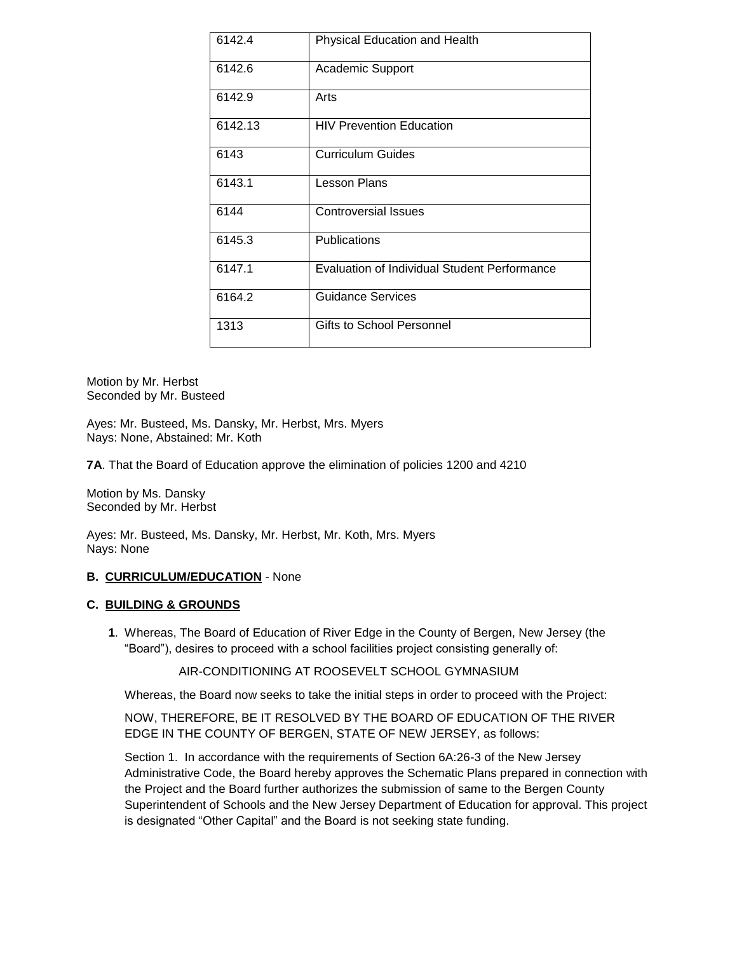| 6142.4  | Physical Education and Health                |
|---------|----------------------------------------------|
| 6142.6  | <b>Academic Support</b>                      |
| 6142.9  | Arts                                         |
| 6142.13 | <b>HIV Prevention Education</b>              |
| 6143    | <b>Curriculum Guides</b>                     |
| 6143.1  | Lesson Plans                                 |
| 6144    | Controversial Issues                         |
| 6145.3  | Publications                                 |
| 6147.1  | Evaluation of Individual Student Performance |
| 6164.2  | Guidance Services                            |
| 1313    | Gifts to School Personnel                    |

Motion by Mr. Herbst Seconded by Mr. Busteed

Ayes: Mr. Busteed, Ms. Dansky, Mr. Herbst, Mrs. Myers Nays: None, Abstained: Mr. Koth

**7A**. That the Board of Education approve the elimination of policies 1200 and 4210

Motion by Ms. Dansky Seconded by Mr. Herbst

Ayes: Mr. Busteed, Ms. Dansky, Mr. Herbst, Mr. Koth, Mrs. Myers Nays: None

#### **B. CURRICULUM/EDUCATION** - None

#### **C. BUILDING & GROUNDS**

**1**. Whereas, The Board of Education of River Edge in the County of Bergen, New Jersey (the "Board"), desires to proceed with a school facilities project consisting generally of:

AIR-CONDITIONING AT ROOSEVELT SCHOOL GYMNASIUM

Whereas, the Board now seeks to take the initial steps in order to proceed with the Project:

NOW, THEREFORE, BE IT RESOLVED BY THE BOARD OF EDUCATION OF THE RIVER EDGE IN THE COUNTY OF BERGEN, STATE OF NEW JERSEY, as follows:

Section 1. In accordance with the requirements of Section 6A:26-3 of the New Jersey Administrative Code, the Board hereby approves the Schematic Plans prepared in connection with the Project and the Board further authorizes the submission of same to the Bergen County Superintendent of Schools and the New Jersey Department of Education for approval. This project is designated "Other Capital" and the Board is not seeking state funding.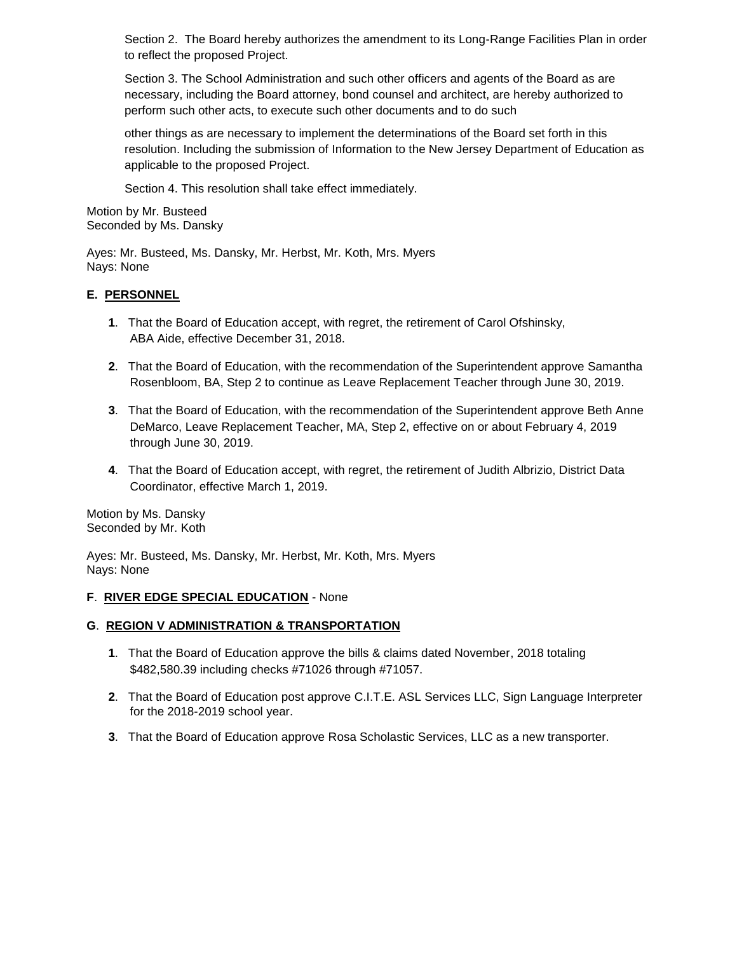Section 2. The Board hereby authorizes the amendment to its Long-Range Facilities Plan in order to reflect the proposed Project.

Section 3. The School Administration and such other officers and agents of the Board as are necessary, including the Board attorney, bond counsel and architect, are hereby authorized to perform such other acts, to execute such other documents and to do such

other things as are necessary to implement the determinations of the Board set forth in this resolution. Including the submission of Information to the New Jersey Department of Education as applicable to the proposed Project.

Section 4. This resolution shall take effect immediately.

Motion by Mr. Busteed Seconded by Ms. Dansky

Ayes: Mr. Busteed, Ms. Dansky, Mr. Herbst, Mr. Koth, Mrs. Myers Nays: None

## **E. PERSONNEL**

- **1**. That the Board of Education accept, with regret, the retirement of Carol Ofshinsky, ABA Aide, effective December 31, 2018.
- **2**. That the Board of Education, with the recommendation of the Superintendent approve Samantha Rosenbloom, BA, Step 2 to continue as Leave Replacement Teacher through June 30, 2019.
- **3**. That the Board of Education, with the recommendation of the Superintendent approve Beth Anne DeMarco, Leave Replacement Teacher, MA, Step 2, effective on or about February 4, 2019 through June 30, 2019.
- **4**. That the Board of Education accept, with regret, the retirement of Judith Albrizio, District Data Coordinator, effective March 1, 2019.

Motion by Ms. Dansky Seconded by Mr. Koth

Ayes: Mr. Busteed, Ms. Dansky, Mr. Herbst, Mr. Koth, Mrs. Myers Nays: None

### **F**. **RIVER EDGE SPECIAL EDUCATION** - None

### **G**. **REGION V ADMINISTRATION & TRANSPORTATION**

- **1**. That the Board of Education approve the bills & claims dated November, 2018 totaling \$482,580.39 including checks #71026 through #71057.
- **2**. That the Board of Education post approve C.I.T.E. ASL Services LLC, Sign Language Interpreter for the 2018-2019 school year.
- **3**. That the Board of Education approve Rosa Scholastic Services, LLC as a new transporter.